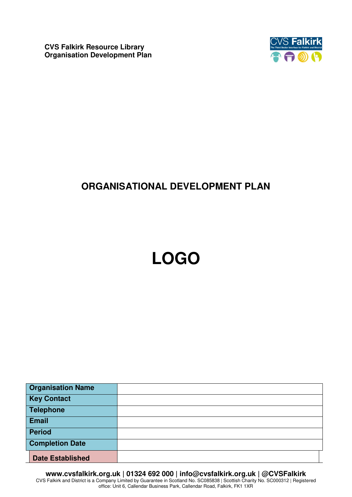**CVS Falkirk Resource Library Organisation Development Plan**



## **ORGANISATIONAL DEVELOPMENT PLAN**

# **LOGO**

| <b>Organisation Name</b> |  |
|--------------------------|--|
| <b>Key Contact</b>       |  |
| <b>Telephone</b>         |  |
| <b>Email</b>             |  |
| <b>Period</b>            |  |
| <b>Completion Date</b>   |  |
| <b>Date Established</b>  |  |

**www.cvsfalkirk.org.uk | 01324 692 000 | info@cvsfalkirk.org.uk | @CVSFalkirk**  CVS Falkirk and District is a Company Limited by Guarantee in Scotland No. SC085838 | Scottish Charity No. SC000312 | Registered office: Unit 6, Callendar Business Park, Callendar Road, Falkirk, FK1 1XR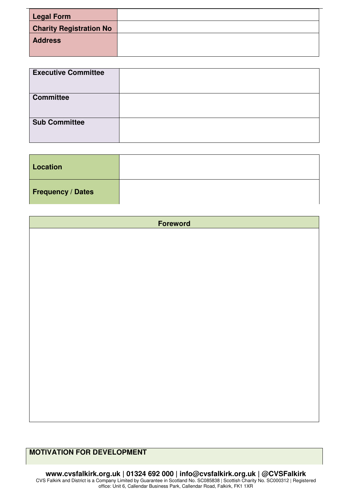| <b>Legal Form</b>              |  |
|--------------------------------|--|
| <b>Charity Registration No</b> |  |
| <b>Address</b>                 |  |
|                                |  |

| <b>Executive Committee</b> |  |
|----------------------------|--|
| <b>Committee</b>           |  |
| <b>Sub Committee</b>       |  |

| Location                 |  |
|--------------------------|--|
| <b>Frequency / Dates</b> |  |

**Foreword** 

### **MOTIVATION FOR DEVELOPMENT**

**www.cvsfalkirk.org.uk | 01324 692 000 | info@cvsfalkirk.org.uk | @CVSFalkirk**  CVS Falkirk and District is a Company Limited by Guarantee in Scotland No. SC085838 | Scottish Charity No. SC000312 | Registered office: Unit 6, Callendar Business Park, Callendar Road, Falkirk, FK1 1XR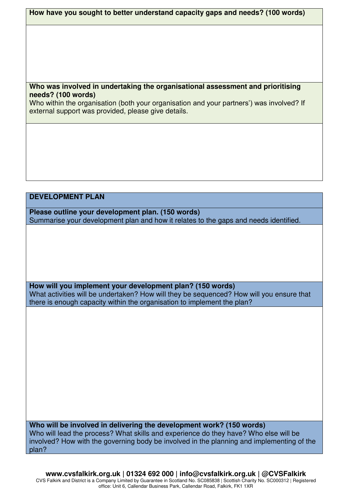**How have you sought to better understand capacity gaps and needs? (100 words)** 

#### **Who was involved in undertaking the organisational assessment and prioritising needs? (100 words)**

Who within the organisation (both your organisation and your partners') was involved? If external support was provided, please give details.

#### **DEVELOPMENT PLAN**

**Please outline your development plan. (150 words)**  Summarise your development plan and how it relates to the gaps and needs identified.

**How will you implement your development plan? (150 words)** What activities will be undertaken? How will they be sequenced? How will you ensure that there is enough capacity within the organisation to implement the plan?

**Who will be involved in delivering the development work? (150 words)**  Who will lead the process? What skills and experience do they have? Who else will be involved? How with the governing body be involved in the planning and implementing of the plan?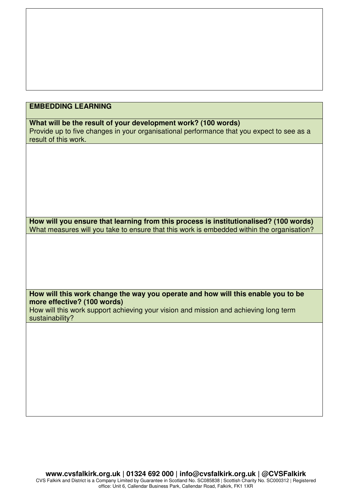#### **EMBEDDING LEARNING**

**What will be the result of your development work? (100 words)**  Provide up to five changes in your organisational performance that you expect to see as a result of this work.

**How will you ensure that learning from this process is institutionalised? (100 words)**  What measures will you take to ensure that this work is embedded within the organisation?

**How will this work change the way you operate and how will this enable you to be more effective? (100 words)** 

How will this work support achieving your vision and mission and achieving long term sustainability?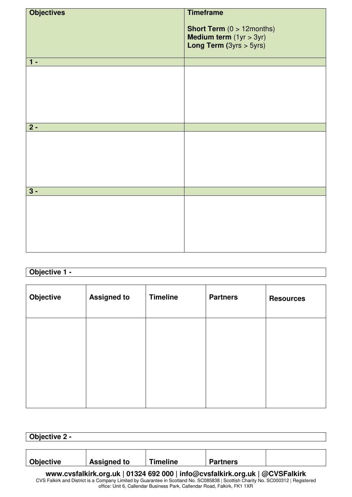| <b>Short Term</b> $(0 > 12$ months)                                  |
|----------------------------------------------------------------------|
| <b>Medium term</b> $(1yr > 3yr)$<br><b>Long Term</b> $(3yrs > 5yrs)$ |
|                                                                      |
|                                                                      |
|                                                                      |
|                                                                      |
|                                                                      |
|                                                                      |
|                                                                      |
|                                                                      |
|                                                                      |
|                                                                      |
|                                                                      |
|                                                                      |
|                                                                      |
|                                                                      |
|                                                                      |
|                                                                      |
|                                                                      |
|                                                                      |
|                                                                      |
|                                                                      |
|                                                                      |
|                                                                      |
|                                                                      |
|                                                                      |
|                                                                      |
|                                                                      |
|                                                                      |

## **Objective 1 -**

| Objective | <b>Assigned to</b> | <b>Timeline</b> | <b>Partners</b> | <b>Resources</b> |
|-----------|--------------------|-----------------|-----------------|------------------|
|           |                    |                 |                 |                  |
|           |                    |                 |                 |                  |
|           |                    |                 |                 |                  |

| Objective 2 -                                                                |                    |                 |                 |  |
|------------------------------------------------------------------------------|--------------------|-----------------|-----------------|--|
|                                                                              |                    |                 |                 |  |
|                                                                              |                    |                 |                 |  |
| Objective                                                                    | <b>Assigned to</b> | <b>Timeline</b> | <b>Partners</b> |  |
| www.cvsfalkirk.org.uk   01324 692 000   info@cvsfalkirk.org.uk   @CVSFalkirk |                    |                 |                 |  |

CVS Falkirk and District is a Company Limited by Guarantee in Scotland No. SC085838 | Scottish Charity No. SC000312 | Registered office: Unit 6, Callendar Business Park, Callendar Road, Falkirk, FK1 1XR